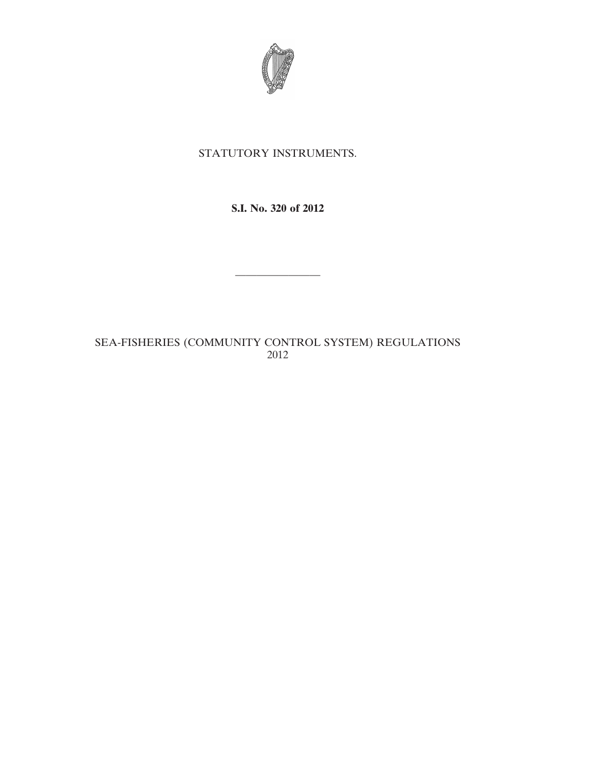

# STATUTORY INSTRUMENTS.

**S.I. No. 320 of 2012**

————————

SEA-FISHERIES (COMMUNITY CONTROL SYSTEM) REGULATIONS 2012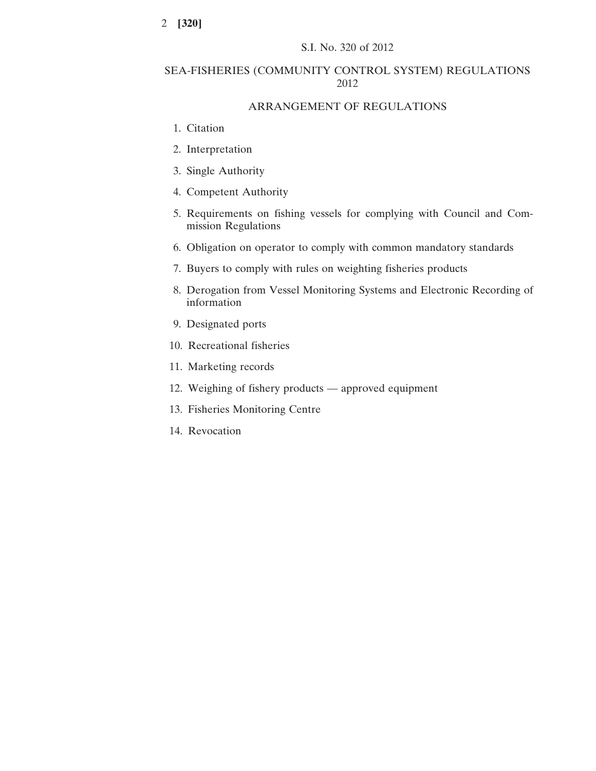# SEA-FISHERIES (COMMUNITY CONTROL SYSTEM) REGULATIONS 2012

# ARRANGEMENT OF REGULATIONS

- 1. Citation
- 2. Interpretation
- 3. Single Authority
- 4. Competent Authority
- 5. Requirements on fishing vessels for complying with Council and Commission Regulations
- 6. Obligation on operator to comply with common mandatory standards
- 7. Buyers to comply with rules on weighting fisheries products
- 8. Derogation from Vessel Monitoring Systems and Electronic Recording of information
- 9. Designated ports
- 10. Recreational fisheries
- 11. Marketing records
- 12. Weighing of fishery products approved equipment
- 13. Fisheries Monitoring Centre
- 14. Revocation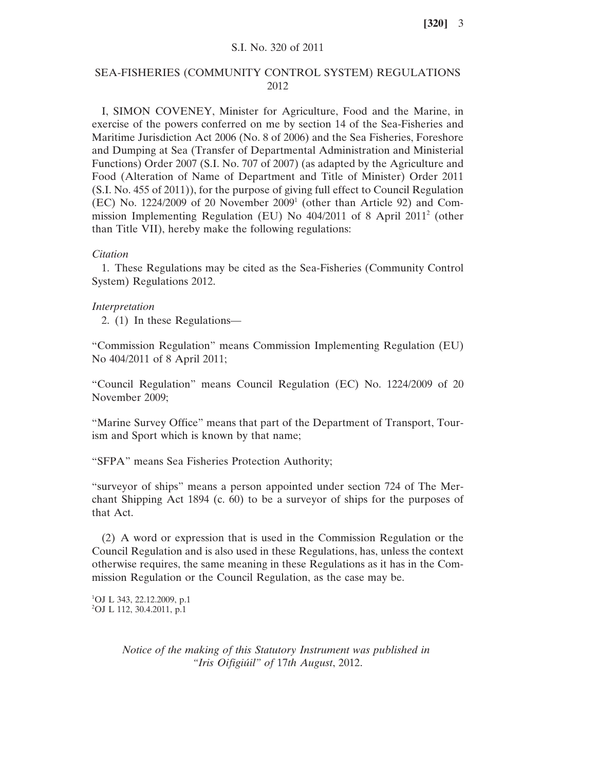### S.I. No. 320 of 2011

# SEA-FISHERIES (COMMUNITY CONTROL SYSTEM) REGULATIONS 2012

I, SIMON COVENEY, Minister for Agriculture, Food and the Marine, in exercise of the powers conferred on me by section 14 of the Sea-Fisheries and Maritime Jurisdiction Act 2006 (No. 8 of 2006) and the Sea Fisheries, Foreshore and Dumping at Sea (Transfer of Departmental Administration and Ministerial Functions) Order 2007 (S.I. No. 707 of 2007) (as adapted by the Agriculture and Food (Alteration of Name of Department and Title of Minister) Order 2011 (S.I. No. 455 of 2011)), for the purpose of giving full effect to Council Regulation (EC) No. 1224/2009 of 20 November 20091 (other than Article 92) and Commission Implementing Regulation (EU) No 404/2011 of 8 April 20112 (other than Title VII), hereby make the following regulations:

#### *Citation*

1. These Regulations may be cited as the Sea-Fisheries (Community Control System) Regulations 2012.

### *Interpretation*

2. (1) In these Regulations—

"Commission Regulation" means Commission Implementing Regulation (EU) No 404/2011 of 8 April 2011;

"Council Regulation" means Council Regulation (EC) No. 1224/2009 of 20 November 2009;

"Marine Survey Office" means that part of the Department of Transport, Tourism and Sport which is known by that name;

"SFPA" means Sea Fisheries Protection Authority;

"surveyor of ships" means a person appointed under section 724 of The Merchant Shipping Act 1894 (c. 60) to be a surveyor of ships for the purposes of that Act.

(2) A word or expression that is used in the Commission Regulation or the Council Regulation and is also used in these Regulations, has, unless the context otherwise requires, the same meaning in these Regulations as it has in the Commission Regulation or the Council Regulation, as the case may be.

```
1
OJ L 343, 22.12.2009, p.1
2
OJ L 112, 30.4.2011, p.1
```
*Notice of the making of this Statutory Instrument was published in "Iris Oifigiúil" of* 17*th August*, 2012.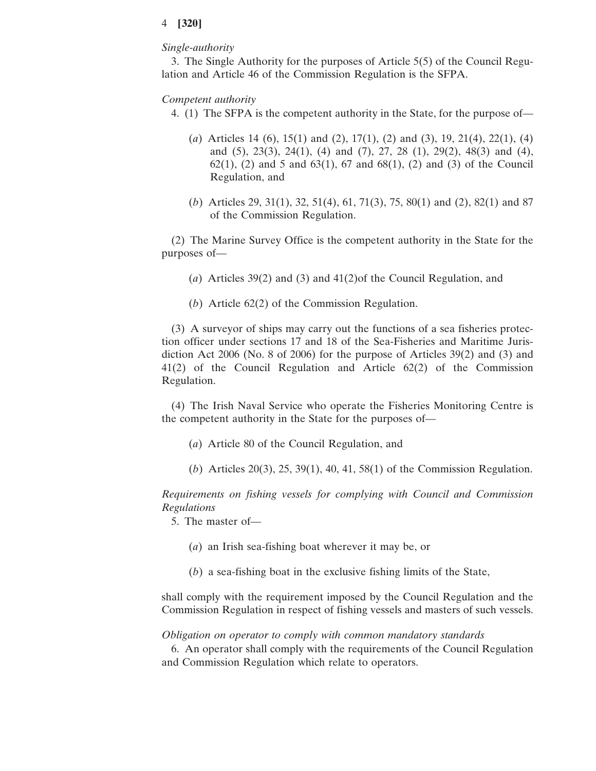### *Single-authority*

3. The Single Authority for the purposes of Article 5(5) of the Council Regulation and Article 46 of the Commission Regulation is the SFPA.

### *Competent authority*

- 4. (1) The SFPA is the competent authority in the State, for the purpose of—
	- (*a*) Articles 14 (6), 15(1) and (2), 17(1), (2) and (3), 19, 21(4), 22(1), (4) and (5), 23(3), 24(1), (4) and (7), 27, 28 (1), 29(2), 48(3) and (4),  $62(1)$ ,  $(2)$  and 5 and  $63(1)$ ,  $67$  and  $68(1)$ ,  $(2)$  and  $(3)$  of the Council Regulation, and
	- (*b*) Articles 29, 31(1), 32, 51(4), 61, 71(3), 75, 80(1) and (2), 82(1) and 87 of the Commission Regulation.

(2) The Marine Survey Office is the competent authority in the State for the purposes of—

- (*a*) Articles 39(2) and (3) and 41(2)of the Council Regulation, and
- (*b*) Article 62(2) of the Commission Regulation.

(3) A surveyor of ships may carry out the functions of a sea fisheries protection officer under sections 17 and 18 of the Sea-Fisheries and Maritime Jurisdiction Act 2006 (No. 8 of 2006) for the purpose of Articles 39(2) and (3) and 41(2) of the Council Regulation and Article 62(2) of the Commission Regulation.

(4) The Irish Naval Service who operate the Fisheries Monitoring Centre is the competent authority in the State for the purposes of—

- (*a*) Article 80 of the Council Regulation, and
- (*b*) Articles 20(3), 25, 39(1), 40, 41, 58(1) of the Commission Regulation.

*Requirements on fishing vessels for complying with Council and Commission Regulations*

5. The master of—

- (*a*) an Irish sea-fishing boat wherever it may be, or
- (*b*) a sea-fishing boat in the exclusive fishing limits of the State,

shall comply with the requirement imposed by the Council Regulation and the Commission Regulation in respect of fishing vessels and masters of such vessels.

*Obligation on operator to comply with common mandatory standards*

6. An operator shall comply with the requirements of the Council Regulation and Commission Regulation which relate to operators.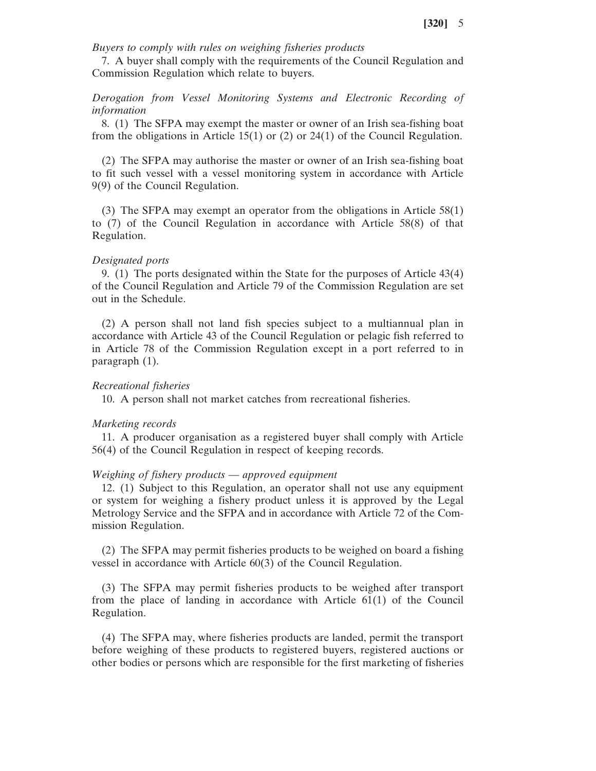*Buyers to comply with rules on weighing fisheries products*

7. A buyer shall comply with the requirements of the Council Regulation and Commission Regulation which relate to buyers.

*Derogation from Vessel Monitoring Systems and Electronic Recording of information*

8. (1) The SFPA may exempt the master or owner of an Irish sea-fishing boat from the obligations in Article 15(1) or (2) or 24(1) of the Council Regulation.

(2) The SFPA may authorise the master or owner of an Irish sea-fishing boat to fit such vessel with a vessel monitoring system in accordance with Article 9(9) of the Council Regulation.

(3) The SFPA may exempt an operator from the obligations in Article 58(1) to (7) of the Council Regulation in accordance with Article 58(8) of that Regulation.

#### *Designated ports*

9. (1) The ports designated within the State for the purposes of Article 43(4) of the Council Regulation and Article 79 of the Commission Regulation are set out in the Schedule.

(2) A person shall not land fish species subject to a multiannual plan in accordance with Article 43 of the Council Regulation or pelagic fish referred to in Article 78 of the Commission Regulation except in a port referred to in paragraph (1).

### *Recreational fisheries*

10. A person shall not market catches from recreational fisheries.

#### *Marketing records*

11. A producer organisation as a registered buyer shall comply with Article 56(4) of the Council Regulation in respect of keeping records.

# *Weighing of fishery products* — *approved equipment*

12. (1) Subject to this Regulation, an operator shall not use any equipment or system for weighing a fishery product unless it is approved by the Legal Metrology Service and the SFPA and in accordance with Article 72 of the Commission Regulation.

(2) The SFPA may permit fisheries products to be weighed on board a fishing vessel in accordance with Article 60(3) of the Council Regulation.

(3) The SFPA may permit fisheries products to be weighed after transport from the place of landing in accordance with Article 61(1) of the Council Regulation.

(4) The SFPA may, where fisheries products are landed, permit the transport before weighing of these products to registered buyers, registered auctions or other bodies or persons which are responsible for the first marketing of fisheries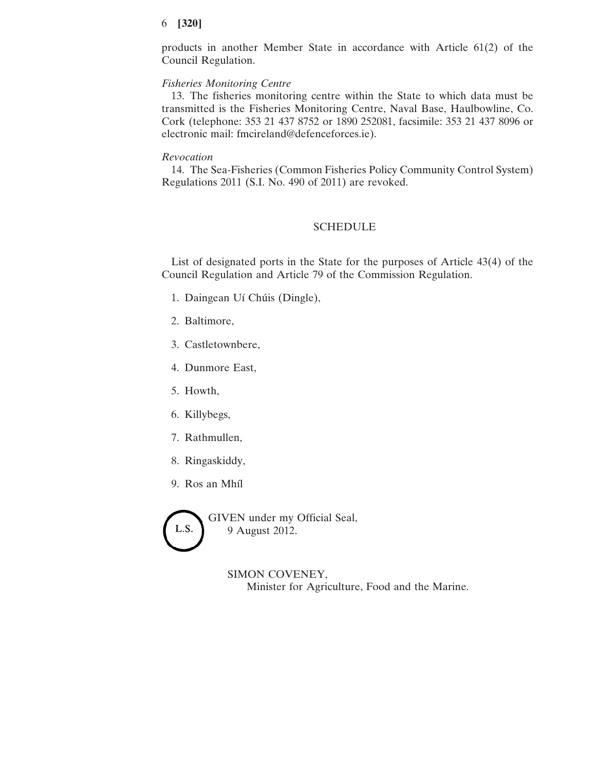products in another Member State in accordance with Article 61(2) of the Council Regulation.

## *Fisheries Monitoring Centre*

13. The fisheries monitoring centre within the State to which data must be transmitted is the Fisheries Monitoring Centre, Naval Base, Haulbowline, Co. Cork (telephone: 353 21 437 8752 or 1890 252081, facsimile: 353 21 437 8096 or electronic mail: fmcireland@defenceforces.ie).

### *Revocation*

14. The Sea-Fisheries (Common Fisheries Policy Community Control System) Regulations 2011 (S.I. No. 490 of 2011) are revoked.

## SCHEDULE

List of designated ports in the State for the purposes of Article 43(4) of the Council Regulation and Article 79 of the Commission Regulation.

- 1. Daingean Uí Chúis (Dingle),
- 2. Baltimore,
- 3. Castletownbere,
- 4. Dunmore East,
- 5. Howth,
- 6. Killybegs,
- 7. Rathmullen,
- 8. Ringaskiddy,
- 9. Ros an Mhíl



GIVEN under my Official Seal, 9 August 2012.

> SIMON COVENEY, Minister for Agriculture, Food and the Marine.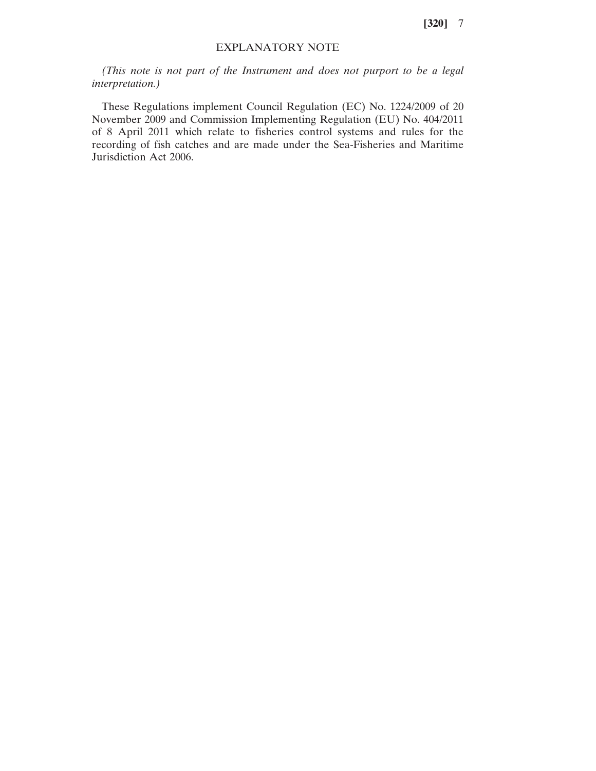# EXPLANATORY NOTE

*(This note is not part of the Instrument and does not purport to be a legal interpretation.)*

These Regulations implement Council Regulation (EC) No. 1224/2009 of 20 November 2009 and Commission Implementing Regulation (EU) No. 404/2011 of 8 April 2011 which relate to fisheries control systems and rules for the recording of fish catches and are made under the Sea-Fisheries and Maritime Jurisdiction Act 2006.